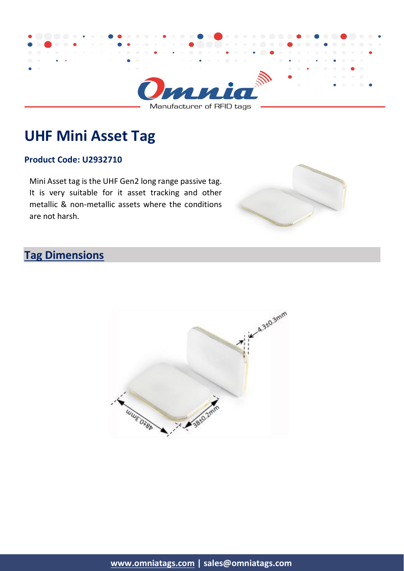

**UHF Mini Asset Tag**

#### **Product Code: U2932710**

Mini Asset tag is the UHF Gen2 long range passive tag. It is very suitable for it asset tracking and other metallic & non-metallic assets where the conditions are not harsh.



# **Tag Dimensions**

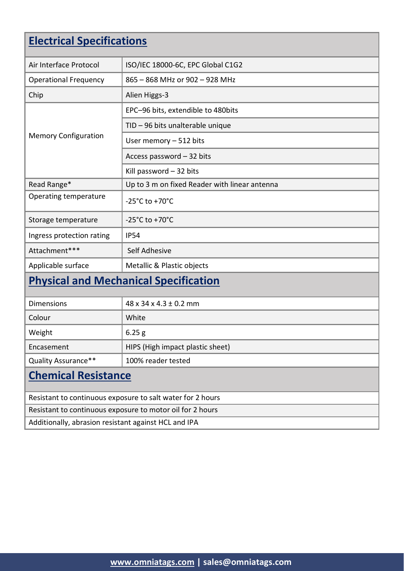# **Electrical Specifications**

| Air Interface Protocol                                     | ISO/IEC 18000-6C, EPC Global C1G2             |  |
|------------------------------------------------------------|-----------------------------------------------|--|
| <b>Operational Frequency</b>                               | 865 - 868 MHz or 902 - 928 MHz                |  |
| Chip                                                       | Alien Higgs-3                                 |  |
| <b>Memory Configuration</b>                                | EPC-96 bits, extendible to 480bits            |  |
|                                                            | TID - 96 bits unalterable unique              |  |
|                                                            | User memory - 512 bits                        |  |
|                                                            | Access password - 32 bits                     |  |
|                                                            | Kill password $-32$ bits                      |  |
| Read Range*                                                | Up to 3 m on fixed Reader with linear antenna |  |
| Operating temperature                                      | -25 $^{\circ}$ C to +70 $^{\circ}$ C          |  |
| Storage temperature                                        | $-25^{\circ}$ C to $+70^{\circ}$ C            |  |
| Ingress protection rating                                  | <b>IP54</b>                                   |  |
| Attachment***                                              | Self Adhesive                                 |  |
| Applicable surface                                         | Metallic & Plastic objects                    |  |
| <b>Physical and Mechanical Specification</b>               |                                               |  |
| <b>Dimensions</b>                                          | $48 \times 34 \times 4.3 \pm 0.2$ mm          |  |
| Colour                                                     | White                                         |  |
| Weight                                                     | 6.25 g                                        |  |
| Encasement                                                 | HIPS (High impact plastic sheet)              |  |
| Quality Assurance**                                        | 100% reader tested                            |  |
| <b>Chemical Resistance</b>                                 |                                               |  |
| Resistant to continuous exposure to salt water for 2 hours |                                               |  |
| Resistant to continuous exposure to motor oil for 2 hours  |                                               |  |

Additionally, abrasion resistant against HCL and IPA